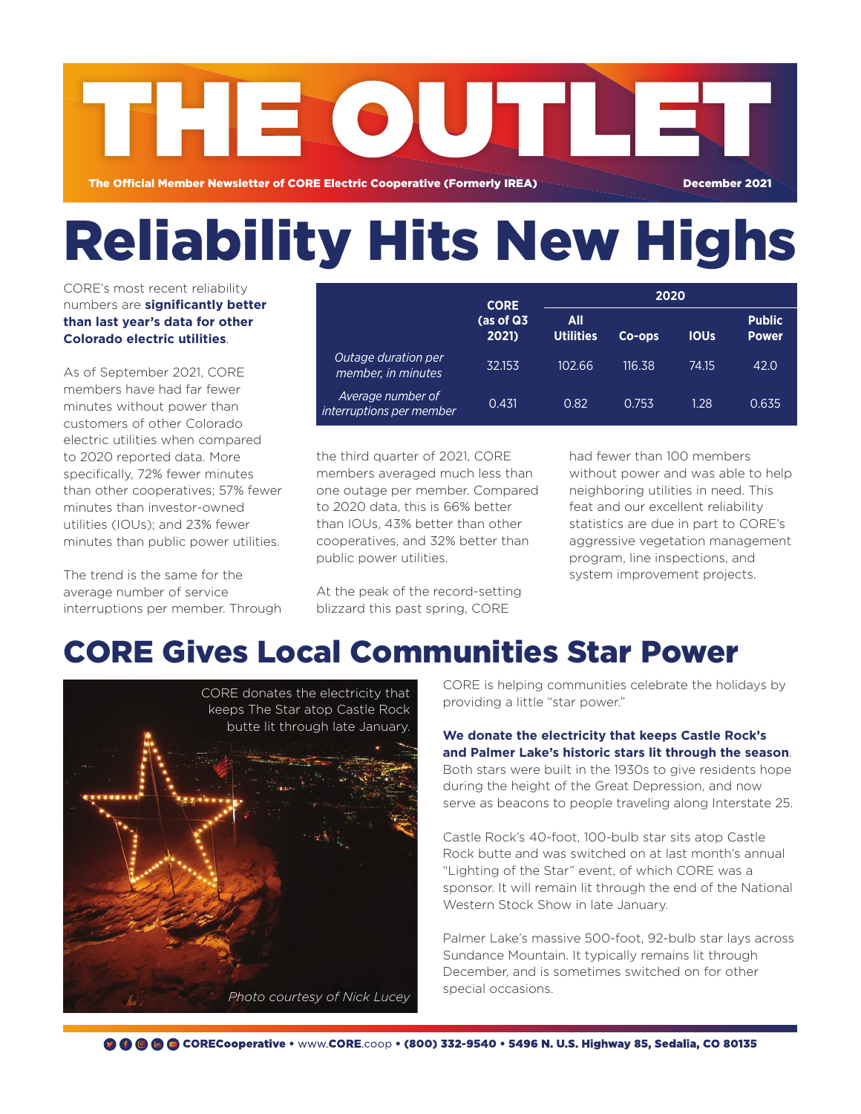

# Reliability Hits New Highs

CORE's most recent reliability numbers are **significantly better than last year's data for other Colorado electric utilities**.

As of September 2021, CORE members have had far fewer minutes without power than customers of other Colorado electric utilities when compared to 2020 reported data. More specifically, 72% fewer minutes than other cooperatives; 57% fewer minutes than investor-owned utilities (IOUs); and 23% fewer minutes than public power utilities.

The trend is the same for the average number of service interruptions per member. Through

|                                               | <b>CORE</b><br>(as of Q3<br>2021) | 2020                    |        |             |                               |
|-----------------------------------------------|-----------------------------------|-------------------------|--------|-------------|-------------------------------|
|                                               |                                   | All<br><b>Utilities</b> | Co-ops | <b>IOUS</b> | <b>Public</b><br><b>Power</b> |
| Outage duration per<br>member, in minutes     | 32.153                            | 102.66                  | 116.38 | 74.15       | 42.0                          |
| Average number of<br>interruptions per member | 0.431                             | 0.82                    | 0.753  | 1.28        | 0.635                         |

the third quarter of 2021, CORE members averaged much less than one outage per member. Compared to 2020 data, this is 66% better than IOUs, 43% better than other cooperatives, and 32% better than public power utilities.

At the peak of the record-setting blizzard this past spring, CORE

had fewer than 100 members without power and was able to help neighboring utilities in need. This feat and our excellent reliability statistics are due in part to CORE's aggressive vegetation management program, line inspections, and system improvement projects.

# CORE Gives Local Communities Star Power



CORE is helping communities celebrate the holidays by providing a little "star power."

#### **We donate the electricity that keeps Castle Rock's and Palmer Lake's historic stars lit through the season**.

Both stars were built in the 1930s to give residents hope during the height of the Great Depression, and now serve as beacons to people traveling along Interstate 25.

Castle Rock's 40-foot, 100-bulb star sits atop Castle Rock butte and was switched on at last month's annual "Lighting of the Star" event, of which CORE was a sponsor. It will remain lit through the end of the National Western Stock Show in late January.

Palmer Lake's massive 500-foot, 92-bulb star lays across Sundance Mountain. It typically remains lit through December, and is sometimes switched on for other special occasions.